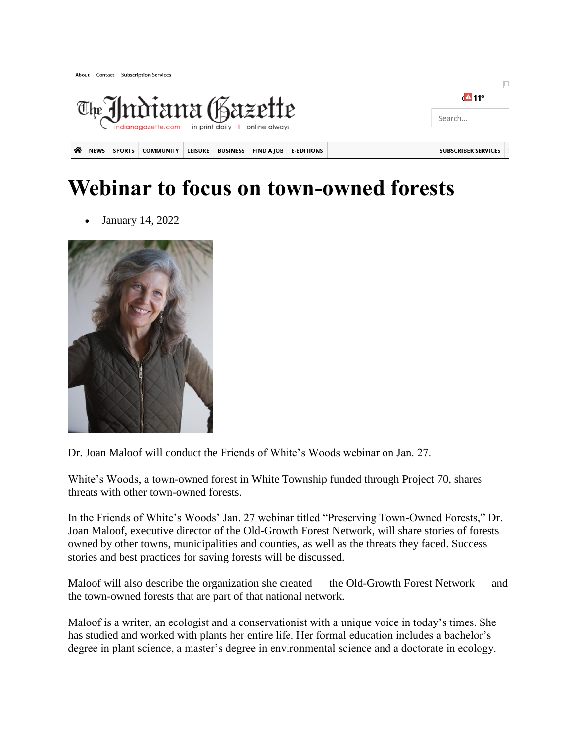| About Contact Subscription Services                                       |             |               |                  |                |                 |                   |                   |        |                            |
|---------------------------------------------------------------------------|-------------|---------------|------------------|----------------|-----------------|-------------------|-------------------|--------|----------------------------|
|                                                                           |             |               |                  |                |                 |                   |                   |        | (411°                      |
| The Jndiana (Bazette<br>indianagazette.com in print daily I online always |             |               |                  |                |                 |                   |                   | Search |                            |
|                                                                           |             |               |                  |                |                 |                   |                   |        |                            |
| ☎                                                                         | <b>NEWS</b> | <b>SPORTS</b> | <b>COMMUNITY</b> | <b>LEISURE</b> | <b>BUSINESS</b> | <b>FIND A JOB</b> | <b>E-EDITIONS</b> |        | <b>SUBSCRIBER SERVICES</b> |

## **Webinar to focus on town-owned forests**

January 14, 2022



Dr. Joan Maloof will conduct the Friends of White's Woods webinar on Jan. 27.

White's Woods, a town-owned forest in White Township funded through Project 70, shares threats with other town-owned forests.

In the Friends of White's Woods' Jan. 27 webinar titled "Preserving Town-Owned Forests," Dr. Joan Maloof, executive director of the Old-Growth Forest Network, will share stories of forests owned by other towns, municipalities and counties, as well as the threats they faced. Success stories and best practices for saving forests will be discussed.

Maloof will also describe the organization she created — the Old-Growth Forest Network — and the town-owned forests that are part of that national network.

Maloof is a writer, an ecologist and a conservationist with a unique voice in today's times. She has studied and worked with plants her entire life. Her formal education includes a bachelor's degree in plant science, a master's degree in environmental science and a doctorate in ecology.